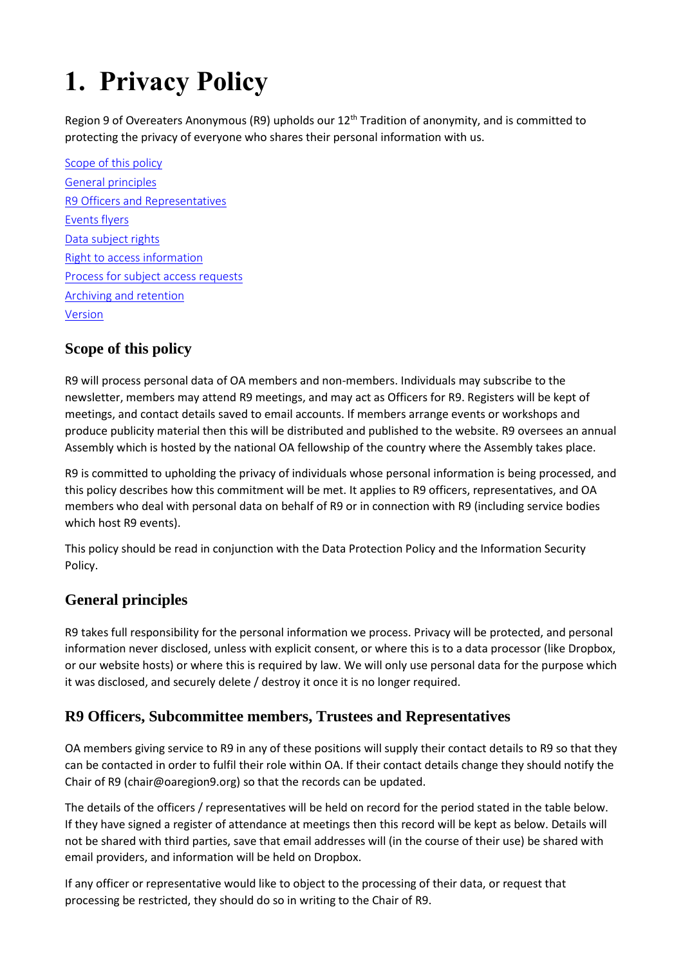# **1. Privacy Policy**

Region 9 of Overeaters Anonymous (R9) upholds our 12<sup>th</sup> Tradition of anonymity, and is committed to protecting the privacy of everyone who shares their personal information with us.

[Scope of this policy](#page-0-0) [General principles](#page-0-1) R9 [Officers and Representatives](#page-0-2) [Events flyers](#page-1-0) [Data subject rights](#page-0-2) [Right to access information](#page-1-1) [Process for subject access requests](#page-2-0) [Archiving and retention](#page-3-0) [Version](#page-3-1)

#### <span id="page-0-0"></span>**Scope of this policy**

R9 will process personal data of OA members and non-members. Individuals may subscribe to the newsletter, members may attend R9 meetings, and may act as Officers for R9. Registers will be kept of meetings, and contact details saved to email accounts. If members arrange events or workshops and produce publicity material then this will be distributed and published to the website. R9 oversees an annual Assembly which is hosted by the national OA fellowship of the country where the Assembly takes place.

R9 is committed to upholding the privacy of individuals whose personal information is being processed, and this policy describes how this commitment will be met. It applies to R9 officers, representatives, and OA members who deal with personal data on behalf of R9 or in connection with R9 (including service bodies which host R9 events).

This policy should be read in conjunction with the Data Protection Policy and the Information Security Policy.

#### <span id="page-0-1"></span>**General principles**

R9 takes full responsibility for the personal information we process. Privacy will be protected, and personal information never disclosed, unless with explicit consent, or where this is to a data processor (like Dropbox, or our website hosts) or where this is required by law. We will only use personal data for the purpose which it was disclosed, and securely delete / destroy it once it is no longer required.

#### <span id="page-0-2"></span>**R9 Officers, Subcommittee members, Trustees and Representatives**

OA members giving service to R9 in any of these positions will supply their contact details to R9 so that they can be contacted in order to fulfil their role within OA. If their contact details change they should notify the Chair of R9 (chair@oaregion9.org) so that the records can be updated.

The details of the officers / representatives will be held on record for the period stated in the table below. If they have signed a register of attendance at meetings then this record will be kept as below. Details will not be shared with third parties, save that email addresses will (in the course of their use) be shared with email providers, and information will be held on Dropbox.

If any officer or representative would like to object to the processing of their data, or request that processing be restricted, they should do so in writing to the Chair of R9.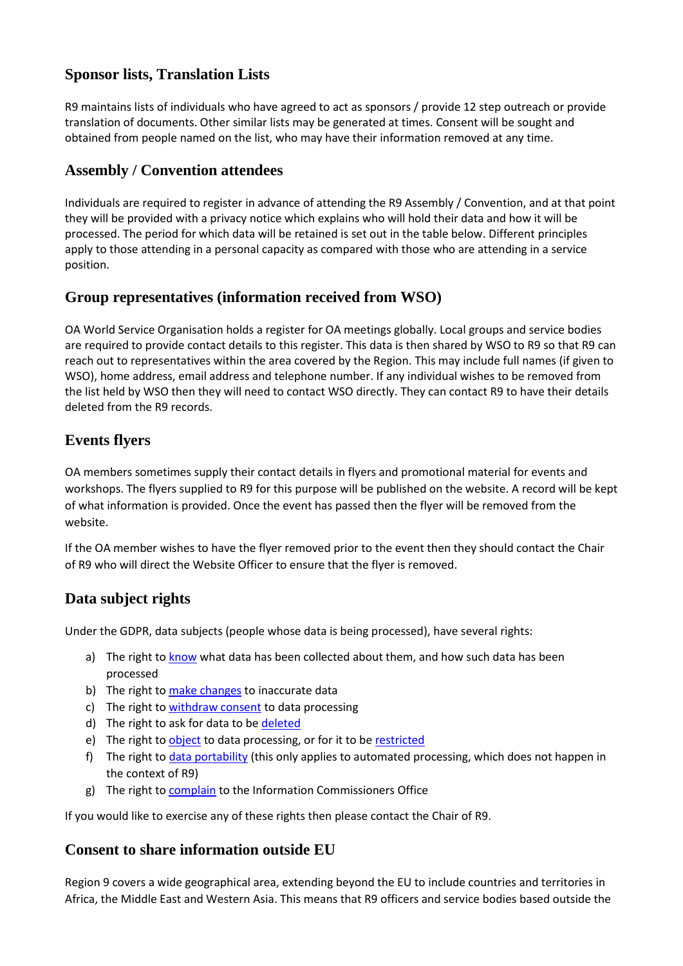#### **Sponsor lists, Translation Lists**

R9 maintains lists of individuals who have agreed to act as sponsors / provide 12 step outreach or provide translation of documents. Other similar lists may be generated at times. Consent will be sought and obtained from people named on the list, who may have their information removed at any time.

#### **Assembly / Convention attendees**

Individuals are required to register in advance of attending the R9 Assembly / Convention, and at that point they will be provided with a privacy notice which explains who will hold their data and how it will be processed. The period for which data will be retained is set out in the table below. Different principles apply to those attending in a personal capacity as compared with those who are attending in a service position.

#### **Group representatives (information received from WSO)**

OA World Service Organisation holds a register for OA meetings globally. Local groups and service bodies are required to provide contact details to this register. This data is then shared by WSO to R9 so that R9 can reach out to representatives within the area covered by the Region. This may include full names (if given to WSO), home address, email address and telephone number. If any individual wishes to be removed from the list held by WSO then they will need to contact WSO directly. They can contact R9 to have their details deleted from the R9 records.

#### <span id="page-1-0"></span>**Events flyers**

OA members sometimes supply their contact details in flyers and promotional material for events and workshops. The flyers supplied to R9 for this purpose will be published on the website. A record will be kept of what information is provided. Once the event has passed then the flyer will be removed from the website.

If the OA member wishes to have the flyer removed prior to the event then they should contact the Chair of R9 who will direct the Website Officer to ensure that the flyer is removed.

#### **Data subject rights**

Under the GDPR, data subjects (people whose data is being processed), have several rights:

- a) The right to [know](https://gdpr-info.eu/art-15-gdpr/) what data has been collected about them, and how such data has been processed
- b) The right to [make changes](https://gdpr-info.eu/art-16-gdpr/) to inaccurate data
- c) The right to [withdraw consent](https://gdpr-info.eu/art-7-gdpr/) to data processing
- d) The right to ask for data to be [deleted](https://gdpr-info.eu/art-17-gdpr/)
- e) The right to [object](https://gdpr-info.eu/art-21-gdpr/) to data processing, or for it to be [restricted](https://gdpr-info.eu/art-18-gdpr/)
- f) The right to *data portability* (this only applies to automated processing, which does not happen in the context of R9)
- g) The right to [complain](https://gdpr-info.eu/art-77-gdpr/) to the Information Commissioners Office

If you would like to exercise any of these rights then please contact the Chair of R9.

#### <span id="page-1-1"></span>**Consent to share information outside EU**

Region 9 covers a wide geographical area, extending beyond the EU to include countries and territories in Africa, the Middle East and Western Asia. This means that R9 officers and service bodies based outside the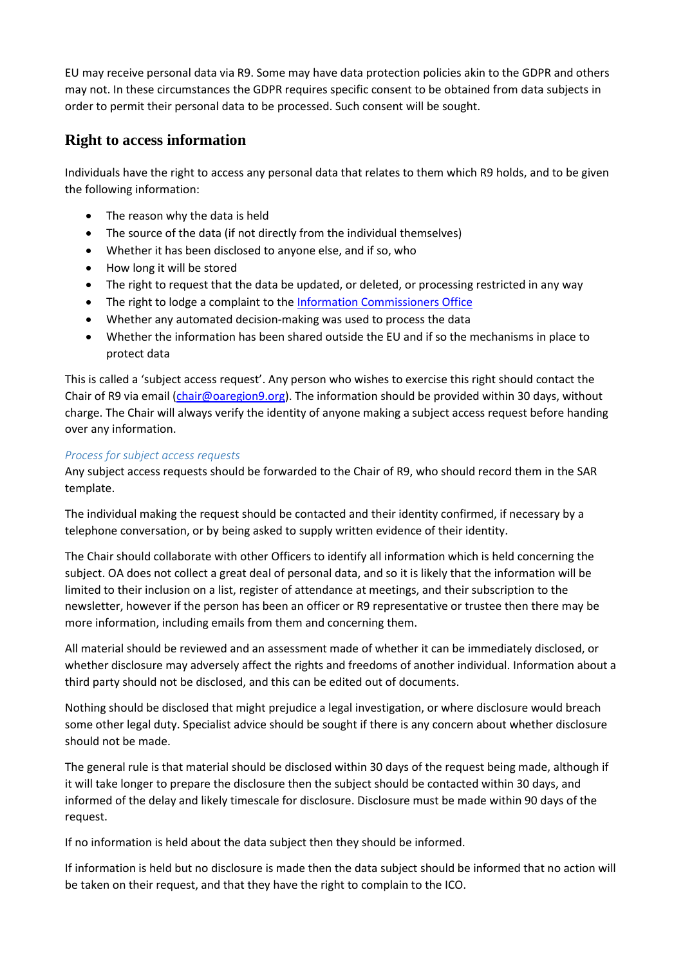EU may receive personal data via R9. Some may have data protection policies akin to the GDPR and others may not. In these circumstances the GDPR requires specific consent to be obtained from data subjects in order to permit their personal data to be processed. Such consent will be sought.

### **Right to access information**

Individuals have the right to access any personal data that relates to them which R9 holds, and to be given the following information:

- The reason why the data is held
- The source of the data (if not directly from the individual themselves)
- Whether it has been disclosed to anyone else, and if so, who
- How long it will be stored
- The right to request that the data be updated, or deleted, or processing restricted in any way
- The right to lodge a complaint to the [Information Commissioners Office](https://ico.org.uk/)
- Whether any automated decision-making was used to process the data
- Whether the information has been shared outside the EU and if so the mechanisms in place to protect data

This is called a 'subject access request'. Any person who wishes to exercise this right should contact the Chair of R9 via email [\(chair@oaregion9.org\)](mailto:chair@oaregion9.org). The information should be provided within 30 days, without charge. The Chair will always verify the identity of anyone making a subject access request before handing over any information.

#### <span id="page-2-0"></span>*Process for subject access requests*

Any subject access requests should be forwarded to the Chair of R9, who should record them in the SAR template.

The individual making the request should be contacted and their identity confirmed, if necessary by a telephone conversation, or by being asked to supply written evidence of their identity.

The Chair should collaborate with other Officers to identify all information which is held concerning the subject. OA does not collect a great deal of personal data, and so it is likely that the information will be limited to their inclusion on a list, register of attendance at meetings, and their subscription to the newsletter, however if the person has been an officer or R9 representative or trustee then there may be more information, including emails from them and concerning them.

All material should be reviewed and an assessment made of whether it can be immediately disclosed, or whether disclosure may adversely affect the rights and freedoms of another individual. Information about a third party should not be disclosed, and this can be edited out of documents.

Nothing should be disclosed that might prejudice a legal investigation, or where disclosure would breach some other legal duty. Specialist advice should be sought if there is any concern about whether disclosure should not be made.

The general rule is that material should be disclosed within 30 days of the request being made, although if it will take longer to prepare the disclosure then the subject should be contacted within 30 days, and informed of the delay and likely timescale for disclosure. Disclosure must be made within 90 days of the request.

If no information is held about the data subject then they should be informed.

If information is held but no disclosure is made then the data subject should be informed that no action will be taken on their request, and that they have the right to complain to the ICO.